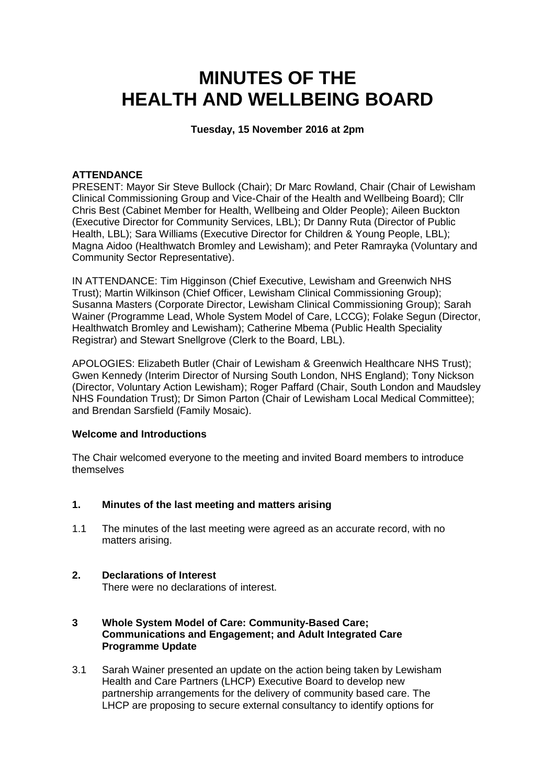# **MINUTES OF THE HEALTH AND WELLBEING BOARD**

## **Tuesday, 15 November 2016 at 2pm**

## **ATTENDANCE**

PRESENT: Mayor Sir Steve Bullock (Chair); Dr Marc Rowland, Chair (Chair of Lewisham Clinical Commissioning Group and Vice-Chair of the Health and Wellbeing Board); Cllr Chris Best (Cabinet Member for Health, Wellbeing and Older People); Aileen Buckton (Executive Director for Community Services, LBL); Dr Danny Ruta (Director of Public Health, LBL); Sara Williams (Executive Director for Children & Young People, LBL); Magna Aidoo (Healthwatch Bromley and Lewisham); and Peter Ramrayka (Voluntary and Community Sector Representative).

IN ATTENDANCE: Tim Higginson (Chief Executive, Lewisham and Greenwich NHS Trust); Martin Wilkinson (Chief Officer, Lewisham Clinical Commissioning Group); Susanna Masters (Corporate Director, Lewisham Clinical Commissioning Group); Sarah Wainer (Programme Lead, Whole System Model of Care, LCCG); Folake Segun (Director, Healthwatch Bromley and Lewisham); Catherine Mbema (Public Health Speciality Registrar) and Stewart Snellgrove (Clerk to the Board, LBL).

APOLOGIES: Elizabeth Butler (Chair of Lewisham & Greenwich Healthcare NHS Trust); Gwen Kennedy (Interim Director of Nursing South London, NHS England); Tony Nickson (Director, Voluntary Action Lewisham); Roger Paffard (Chair, South London and Maudsley NHS Foundation Trust); Dr Simon Parton (Chair of Lewisham Local Medical Committee); and Brendan Sarsfield (Family Mosaic).

## **Welcome and Introductions**

The Chair welcomed everyone to the meeting and invited Board members to introduce themselves

#### **1. Minutes of the last meeting and matters arising**

1.1 The minutes of the last meeting were agreed as an accurate record, with no matters arising.

# **2. Declarations of Interest**

There were no declarations of interest.

### **3 Whole System Model of Care: Community-Based Care; Communications and Engagement; and Adult Integrated Care Programme Update**

3.1 Sarah Wainer presented an update on the action being taken by Lewisham Health and Care Partners (LHCP) Executive Board to develop new partnership arrangements for the delivery of community based care. The LHCP are proposing to secure external consultancy to identify options for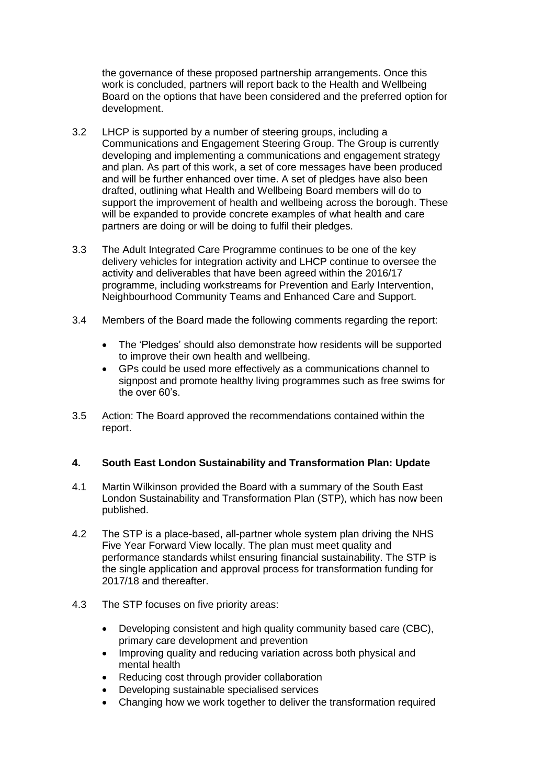the governance of these proposed partnership arrangements. Once this work is concluded, partners will report back to the Health and Wellbeing Board on the options that have been considered and the preferred option for development.

- 3.2 LHCP is supported by a number of steering groups, including a Communications and Engagement Steering Group. The Group is currently developing and implementing a communications and engagement strategy and plan. As part of this work, a set of core messages have been produced and will be further enhanced over time. A set of pledges have also been drafted, outlining what Health and Wellbeing Board members will do to support the improvement of health and wellbeing across the borough. These will be expanded to provide concrete examples of what health and care partners are doing or will be doing to fulfil their pledges.
- 3.3 The Adult Integrated Care Programme continues to be one of the key delivery vehicles for integration activity and LHCP continue to oversee the activity and deliverables that have been agreed within the 2016/17 programme, including workstreams for Prevention and Early Intervention, Neighbourhood Community Teams and Enhanced Care and Support.
- 3.4 Members of the Board made the following comments regarding the report:
	- The 'Pledges' should also demonstrate how residents will be supported to improve their own health and wellbeing.
	- GPs could be used more effectively as a communications channel to signpost and promote healthy living programmes such as free swims for the over 60's.
- 3.5 Action: The Board approved the recommendations contained within the report.

#### **4. South East London Sustainability and Transformation Plan: Update**

- 4.1 Martin Wilkinson provided the Board with a summary of the South East London Sustainability and Transformation Plan (STP), which has now been published.
- 4.2 The STP is a place-based, all-partner whole system plan driving the NHS Five Year Forward View locally. The plan must meet quality and performance standards whilst ensuring financial sustainability. The STP is the single application and approval process for transformation funding for 2017/18 and thereafter
- 4.3 The STP focuses on five priority areas:
	- Developing consistent and high quality community based care (CBC), primary care development and prevention
	- Improving quality and reducing variation across both physical and mental health
	- Reducing cost through provider collaboration
	- Developing sustainable specialised services
	- Changing how we work together to deliver the transformation required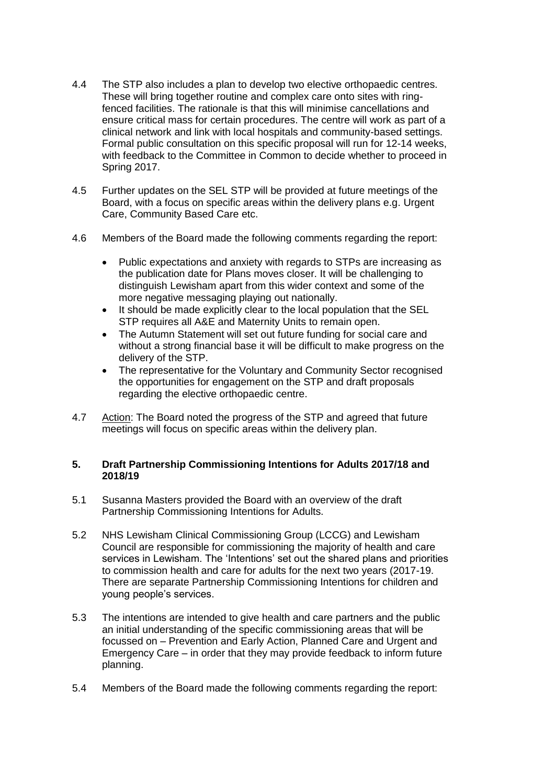- 4.4 The STP also includes a plan to develop two elective orthopaedic centres. These will bring together routine and complex care onto sites with ringfenced facilities. The rationale is that this will minimise cancellations and ensure critical mass for certain procedures. The centre will work as part of a clinical network and link with local hospitals and community-based settings. Formal public consultation on this specific proposal will run for 12-14 weeks, with feedback to the Committee in Common to decide whether to proceed in Spring 2017.
- 4.5 Further updates on the SEL STP will be provided at future meetings of the Board, with a focus on specific areas within the delivery plans e.g. Urgent Care, Community Based Care etc.
- 4.6 Members of the Board made the following comments regarding the report:
	- Public expectations and anxiety with regards to STPs are increasing as the publication date for Plans moves closer. It will be challenging to distinguish Lewisham apart from this wider context and some of the more negative messaging playing out nationally.
	- It should be made explicitly clear to the local population that the SEL STP requires all A&E and Maternity Units to remain open.
	- The Autumn Statement will set out future funding for social care and without a strong financial base it will be difficult to make progress on the delivery of the STP.
	- The representative for the Voluntary and Community Sector recognised the opportunities for engagement on the STP and draft proposals regarding the elective orthopaedic centre.
- 4.7 Action: The Board noted the progress of the STP and agreed that future meetings will focus on specific areas within the delivery plan.

### **5. Draft Partnership Commissioning Intentions for Adults 2017/18 and 2018/19**

- 5.1 Susanna Masters provided the Board with an overview of the draft Partnership Commissioning Intentions for Adults.
- 5.2 NHS Lewisham Clinical Commissioning Group (LCCG) and Lewisham Council are responsible for commissioning the majority of health and care services in Lewisham. The 'Intentions' set out the shared plans and priorities to commission health and care for adults for the next two years (2017-19. There are separate Partnership Commissioning Intentions for children and young people's services.
- 5.3 The intentions are intended to give health and care partners and the public an initial understanding of the specific commissioning areas that will be focussed on – Prevention and Early Action, Planned Care and Urgent and Emergency Care – in order that they may provide feedback to inform future planning.
- 5.4 Members of the Board made the following comments regarding the report: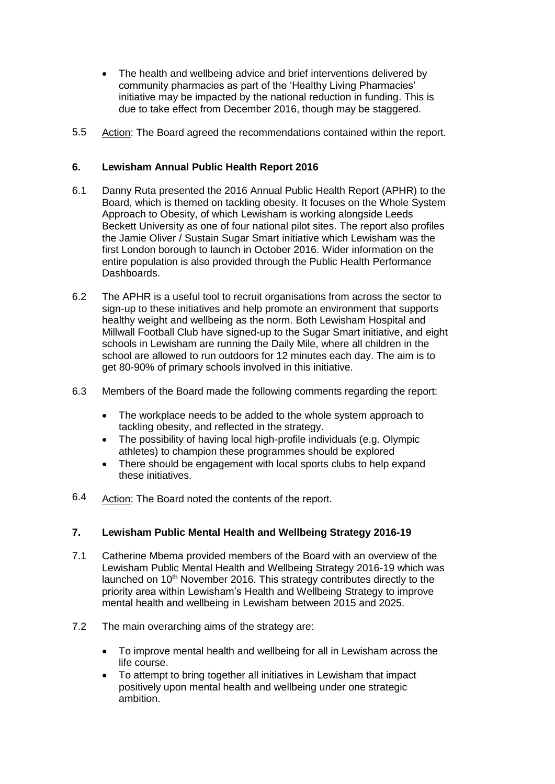- The health and wellbeing advice and brief interventions delivered by community pharmacies as part of the 'Healthy Living Pharmacies' initiative may be impacted by the national reduction in funding. This is due to take effect from December 2016, though may be staggered.
- 5.5 Action: The Board agreed the recommendations contained within the report.

#### **6. Lewisham Annual Public Health Report 2016**

- 6.1 Danny Ruta presented the 2016 Annual Public Health Report (APHR) to the Board, which is themed on tackling obesity. It focuses on the Whole System Approach to Obesity, of which Lewisham is working alongside Leeds Beckett University as one of four national pilot sites. The report also profiles the Jamie Oliver / Sustain Sugar Smart initiative which Lewisham was the first London borough to launch in October 2016. Wider information on the entire population is also provided through the Public Health Performance Dashboards.
- 6.2 The APHR is a useful tool to recruit organisations from across the sector to sign-up to these initiatives and help promote an environment that supports healthy weight and wellbeing as the norm. Both Lewisham Hospital and Millwall Football Club have signed-up to the Sugar Smart initiative, and eight schools in Lewisham are running the Daily Mile, where all children in the school are allowed to run outdoors for 12 minutes each day. The aim is to get 80-90% of primary schools involved in this initiative.
- 6.3 Members of the Board made the following comments regarding the report:
	- The workplace needs to be added to the whole system approach to tackling obesity, and reflected in the strategy.
	- The possibility of having local high-profile individuals (e.g. Olympic athletes) to champion these programmes should be explored
	- There should be engagement with local sports clubs to help expand these initiatives.
- 6.4 Action: The Board noted the contents of the report.

#### **7. Lewisham Public Mental Health and Wellbeing Strategy 2016-19**

- 7.1 Catherine Mbema provided members of the Board with an overview of the Lewisham Public Mental Health and Wellbeing Strategy 2016-19 which was launched on 10<sup>th</sup> November 2016. This strategy contributes directly to the priority area within Lewisham's Health and Wellbeing Strategy to improve mental health and wellbeing in Lewisham between 2015 and 2025.
- 7.2 The main overarching aims of the strategy are:
	- To improve mental health and wellbeing for all in Lewisham across the life course.
	- To attempt to bring together all initiatives in Lewisham that impact positively upon mental health and wellbeing under one strategic ambition.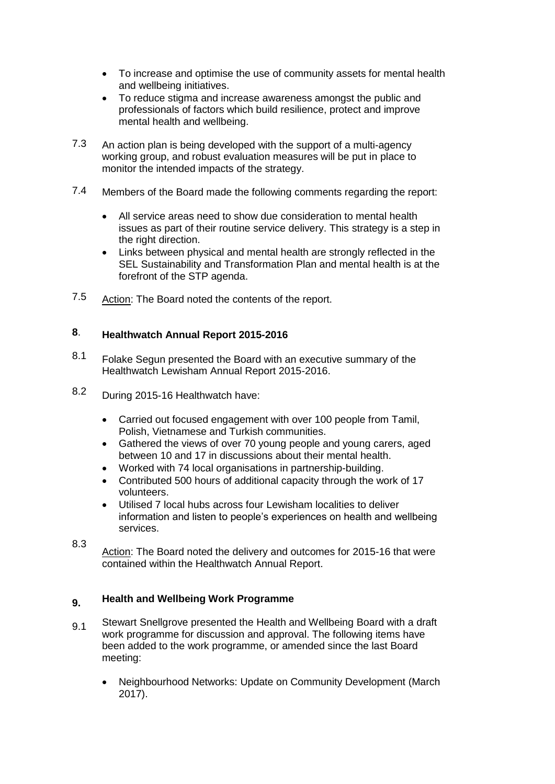- To increase and optimise the use of community assets for mental health and wellbeing initiatives.
- To reduce stigma and increase awareness amongst the public and professionals of factors which build resilience, protect and improve mental health and wellbeing.
- 7.3 An action plan is being developed with the support of a multi-agency working group, and robust evaluation measures will be put in place to monitor the intended impacts of the strategy.
- 7.4 Members of the Board made the following comments regarding the report:
	- All service areas need to show due consideration to mental health issues as part of their routine service delivery. This strategy is a step in the right direction.
	- Links between physical and mental health are strongly reflected in the SEL Sustainability and Transformation Plan and mental health is at the forefront of the STP agenda.
- 7.5 Action: The Board noted the contents of the report.

#### **8**. **Healthwatch Annual Report 2015-2016**

- 8.1 Folake Segun presented the Board with an executive summary of the Healthwatch Lewisham Annual Report 2015-2016.
- 8.2 During 2015-16 Healthwatch have:
	- Carried out focused engagement with over 100 people from Tamil, Polish, Vietnamese and Turkish communities.
	- Gathered the views of over 70 young people and young carers, aged between 10 and 17 in discussions about their mental health.
	- Worked with 74 local organisations in partnership-building.
	- Contributed 500 hours of additional capacity through the work of 17 volunteers.
	- Utilised 7 local hubs across four Lewisham localities to deliver information and listen to people's experiences on health and wellbeing services.
- 8.3 Action: The Board noted the delivery and outcomes for 2015-16 that were contained within the Healthwatch Annual Report.

#### **9. Health and Wellbeing Work Programme**

- 9.1 Stewart Snellgrove presented the Health and Wellbeing Board with a draft work programme for discussion and approval. The following items have been added to the work programme, or amended since the last Board meeting:
	- Neighbourhood Networks: Update on Community Development (March 2017).